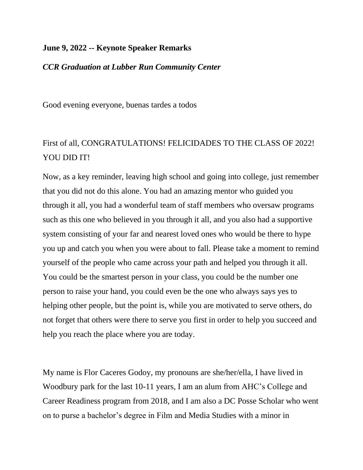## **June 9, 2022 -- Keynote Speaker Remarks**

## *CCR Graduation at Lubber Run Community Center*

Good evening everyone, buenas tardes a todos

## First of all, CONGRATULATIONS! FELICIDADES TO THE CLASS OF 2022! YOU DID IT!

Now, as a key reminder, leaving high school and going into college, just remember that you did not do this alone. You had an amazing mentor who guided you through it all, you had a wonderful team of staff members who oversaw programs such as this one who believed in you through it all, and you also had a supportive system consisting of your far and nearest loved ones who would be there to hype you up and catch you when you were about to fall. Please take a moment to remind yourself of the people who came across your path and helped you through it all. You could be the smartest person in your class, you could be the number one person to raise your hand, you could even be the one who always says yes to helping other people, but the point is, while you are motivated to serve others, do not forget that others were there to serve you first in order to help you succeed and help you reach the place where you are today.

My name is Flor Caceres Godoy, my pronouns are she/her/ella, I have lived in Woodbury park for the last 10-11 years, I am an alum from AHC's College and Career Readiness program from 2018, and I am also a DC Posse Scholar who went on to purse a bachelor's degree in Film and Media Studies with a minor in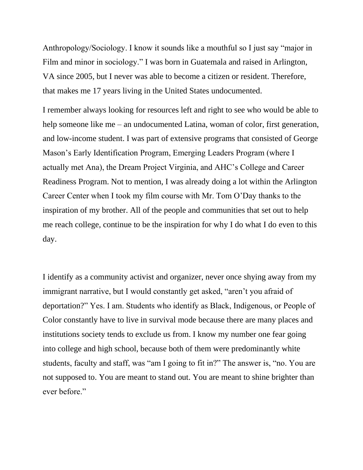Anthropology/Sociology. I know it sounds like a mouthful so I just say "major in Film and minor in sociology." I was born in Guatemala and raised in Arlington, VA since 2005, but I never was able to become a citizen or resident. Therefore, that makes me 17 years living in the United States undocumented.

I remember always looking for resources left and right to see who would be able to help someone like me – an undocumented Latina, woman of color, first generation, and low-income student. I was part of extensive programs that consisted of George Mason's Early Identification Program, Emerging Leaders Program (where I actually met Ana), the Dream Project Virginia, and AHC's College and Career Readiness Program. Not to mention, I was already doing a lot within the Arlington Career Center when I took my film course with Mr. Tom O'Day thanks to the inspiration of my brother. All of the people and communities that set out to help me reach college, continue to be the inspiration for why I do what I do even to this day.

I identify as a community activist and organizer, never once shying away from my immigrant narrative, but I would constantly get asked, "aren't you afraid of deportation?" Yes. I am. Students who identify as Black, Indigenous, or People of Color constantly have to live in survival mode because there are many places and institutions society tends to exclude us from. I know my number one fear going into college and high school, because both of them were predominantly white students, faculty and staff, was "am I going to fit in?" The answer is, "no. You are not supposed to. You are meant to stand out. You are meant to shine brighter than ever before."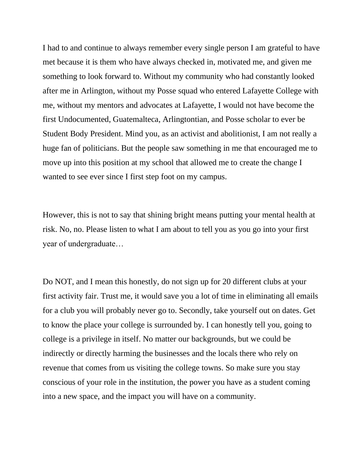I had to and continue to always remember every single person I am grateful to have met because it is them who have always checked in, motivated me, and given me something to look forward to. Without my community who had constantly looked after me in Arlington, without my Posse squad who entered Lafayette College with me, without my mentors and advocates at Lafayette, I would not have become the first Undocumented, Guatemalteca, Arlingtontian, and Posse scholar to ever be Student Body President. Mind you, as an activist and abolitionist, I am not really a huge fan of politicians. But the people saw something in me that encouraged me to move up into this position at my school that allowed me to create the change I wanted to see ever since I first step foot on my campus.

However, this is not to say that shining bright means putting your mental health at risk. No, no. Please listen to what I am about to tell you as you go into your first year of undergraduate…

Do NOT, and I mean this honestly, do not sign up for 20 different clubs at your first activity fair. Trust me, it would save you a lot of time in eliminating all emails for a club you will probably never go to. Secondly, take yourself out on dates. Get to know the place your college is surrounded by. I can honestly tell you, going to college is a privilege in itself. No matter our backgrounds, but we could be indirectly or directly harming the businesses and the locals there who rely on revenue that comes from us visiting the college towns. So make sure you stay conscious of your role in the institution, the power you have as a student coming into a new space, and the impact you will have on a community.